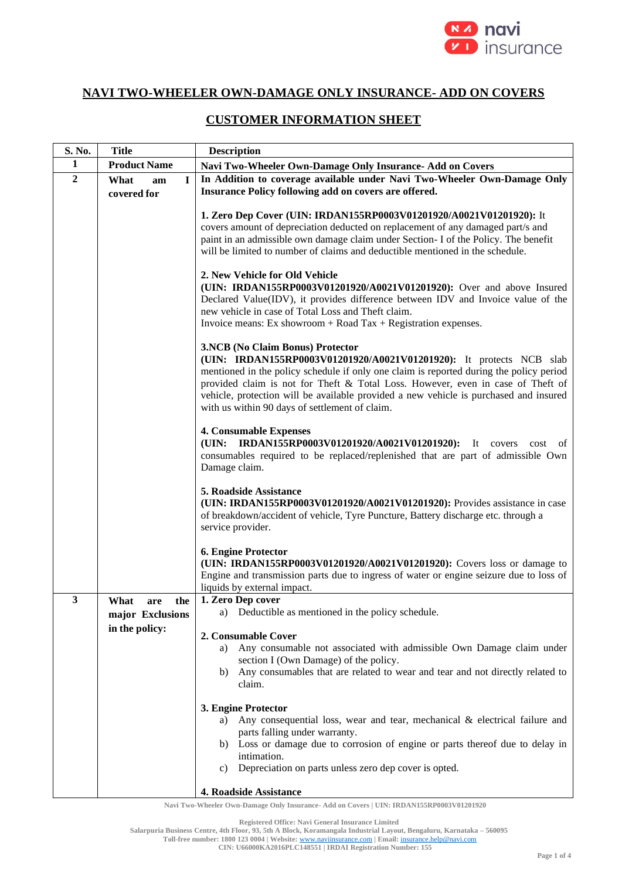

## **NAVI TWO-WHEELER OWN-DAMAGE ONLY INSURANCE- ADD ON COVERS**

## **CUSTOMER INFORMATION SHEET**

| S. No.           | <b>Title</b>                                             | <b>Description</b>                                                                                                                                                                                                                                                                                                                                                                                                               |  |  |
|------------------|----------------------------------------------------------|----------------------------------------------------------------------------------------------------------------------------------------------------------------------------------------------------------------------------------------------------------------------------------------------------------------------------------------------------------------------------------------------------------------------------------|--|--|
| 1                | <b>Product Name</b>                                      | Navi Two-Wheeler Own-Damage Only Insurance- Add on Covers                                                                                                                                                                                                                                                                                                                                                                        |  |  |
| $\boldsymbol{2}$ | $\mathbf I$<br>What<br>am                                | In Addition to coverage available under Navi Two-Wheeler Own-Damage Only                                                                                                                                                                                                                                                                                                                                                         |  |  |
|                  | covered for                                              | Insurance Policy following add on covers are offered.                                                                                                                                                                                                                                                                                                                                                                            |  |  |
|                  |                                                          | 1. Zero Dep Cover (UIN: IRDAN155RP0003V01201920/A0021V01201920): It<br>covers amount of depreciation deducted on replacement of any damaged part/s and<br>paint in an admissible own damage claim under Section- I of the Policy. The benefit<br>will be limited to number of claims and deductible mentioned in the schedule.                                                                                                   |  |  |
|                  |                                                          | 2. New Vehicle for Old Vehicle<br>(UIN: IRDAN155RP0003V01201920/A0021V01201920): Over and above Insured<br>Declared Value(IDV), it provides difference between IDV and Invoice value of the<br>new vehicle in case of Total Loss and Theft claim.<br>Invoice means: Ex showroom $+$ Road Tax $+$ Registration expenses.                                                                                                          |  |  |
|                  |                                                          | 3.NCB (No Claim Bonus) Protector<br>(UIN: IRDAN155RP0003V01201920/A0021V01201920): It protects NCB slab<br>mentioned in the policy schedule if only one claim is reported during the policy period<br>provided claim is not for Theft & Total Loss. However, even in case of Theft of<br>vehicle, protection will be available provided a new vehicle is purchased and insured<br>with us within 90 days of settlement of claim. |  |  |
|                  |                                                          | <b>4. Consumable Expenses</b><br>(UIN: IRDAN155RP0003V01201920/A0021V01201920): It covers<br>cost<br>of<br>consumables required to be replaced/replenished that are part of admissible Own<br>Damage claim.                                                                                                                                                                                                                      |  |  |
|                  |                                                          | 5. Roadside Assistance<br>(UIN: IRDAN155RP0003V01201920/A0021V01201920): Provides assistance in case<br>of breakdown/accident of vehicle, Tyre Puncture, Battery discharge etc. through a<br>service provider.                                                                                                                                                                                                                   |  |  |
|                  |                                                          | 6. Engine Protector<br>(UIN: IRDAN155RP0003V01201920/A0021V01201920): Covers loss or damage to<br>Engine and transmission parts due to ingress of water or engine seizure due to loss of<br>liquids by external impact.                                                                                                                                                                                                          |  |  |
| 3                | What<br>the<br>are<br>major Exclusions<br>in the policy: | 1. Zero Dep cover<br>a) Deductible as mentioned in the policy schedule.                                                                                                                                                                                                                                                                                                                                                          |  |  |
|                  |                                                          | 2. Consumable Cover<br>Any consumable not associated with admissible Own Damage claim under<br>a)<br>section I (Own Damage) of the policy.<br>b) Any consumables that are related to wear and tear and not directly related to<br>claim.                                                                                                                                                                                         |  |  |
|                  |                                                          | 3. Engine Protector<br>Any consequential loss, wear and tear, mechanical & electrical failure and<br>a)<br>parts falling under warranty.<br>b) Loss or damage due to corrosion of engine or parts thereof due to delay in<br>intimation.<br>Depreciation on parts unless zero dep cover is opted.<br>C)<br>4. Roadside Assistance                                                                                                |  |  |

**Navi Two-Wheeler Own-Damage Only Insurance- Add on Covers | UIN: IRDAN155RP0003V01201920**

**Registered Office: Navi General Insurance Limited**

**Salarpuria Business Centre, 4th Floor, 93, 5th A Block, Koramangala Industrial Layout, Bengaluru, Karnataka – 560095**

**Toll-free number: 1800 123 0004 | Website:** [www.naviinsurance.com](http://www.naviinsurance.com/) **| Email:** [insurance.help@navi.com](mailto:insurance.help@navi.com)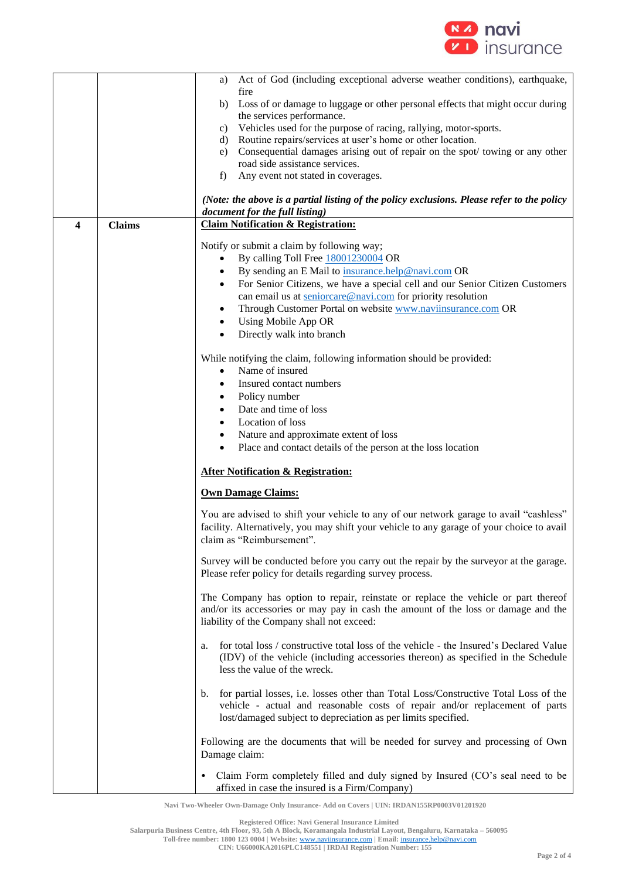

|   |               | Act of God (including exceptional adverse weather conditions), earthquake,<br>a)                                                                                          |  |  |
|---|---------------|---------------------------------------------------------------------------------------------------------------------------------------------------------------------------|--|--|
|   |               | fire                                                                                                                                                                      |  |  |
|   |               | Loss of or damage to luggage or other personal effects that might occur during<br>b)<br>the services performance.                                                         |  |  |
|   |               | Vehicles used for the purpose of racing, rallying, motor-sports.<br>c)                                                                                                    |  |  |
|   |               | Routine repairs/services at user's home or other location.<br>d)                                                                                                          |  |  |
|   |               | Consequential damages arising out of repair on the spot/towing or any other<br>e)                                                                                         |  |  |
|   |               | road side assistance services.                                                                                                                                            |  |  |
|   |               | f)<br>Any event not stated in coverages.                                                                                                                                  |  |  |
|   |               | (Note: the above is a partial listing of the policy exclusions. Please refer to the policy<br>document for the full listing)                                              |  |  |
| 4 | <b>Claims</b> | <b>Claim Notification &amp; Registration:</b>                                                                                                                             |  |  |
|   |               | Notify or submit a claim by following way;                                                                                                                                |  |  |
|   |               | By calling Toll Free 18001230004 OR<br>$\bullet$                                                                                                                          |  |  |
|   |               | By sending an E Mail to insurance.help@navi.com OR                                                                                                                        |  |  |
|   |               | For Senior Citizens, we have a special cell and our Senior Citizen Customers                                                                                              |  |  |
|   |               | can email us at seniorcare@navi.com for priority resolution                                                                                                               |  |  |
|   |               | Through Customer Portal on website www.naviinsurance.com OR                                                                                                               |  |  |
|   |               | Using Mobile App OR<br>$\bullet$                                                                                                                                          |  |  |
|   |               | Directly walk into branch                                                                                                                                                 |  |  |
|   |               | While notifying the claim, following information should be provided:                                                                                                      |  |  |
|   |               | Name of insured<br>$\bullet$                                                                                                                                              |  |  |
|   |               | Insured contact numbers<br>$\bullet$                                                                                                                                      |  |  |
|   |               | Policy number<br>٠                                                                                                                                                        |  |  |
|   |               | Date and time of loss                                                                                                                                                     |  |  |
|   |               | Location of loss                                                                                                                                                          |  |  |
|   |               | Nature and approximate extent of loss<br>٠                                                                                                                                |  |  |
|   |               | Place and contact details of the person at the loss location<br>$\bullet$                                                                                                 |  |  |
|   |               | <b>After Notification &amp; Registration:</b>                                                                                                                             |  |  |
|   |               | <b>Own Damage Claims:</b>                                                                                                                                                 |  |  |
|   |               | You are advised to shift your vehicle to any of our network garage to avail "cashless"                                                                                    |  |  |
|   |               | facility. Alternatively, you may shift your vehicle to any garage of your choice to avail                                                                                 |  |  |
|   |               | claim as "Reimbursement".                                                                                                                                                 |  |  |
|   |               | Survey will be conducted before you carry out the repair by the surveyor at the garage.                                                                                   |  |  |
|   |               | Please refer policy for details regarding survey process.                                                                                                                 |  |  |
|   |               | The Company has option to repair, reinstate or replace the vehicle or part thereof                                                                                        |  |  |
|   |               | and/or its accessories or may pay in cash the amount of the loss or damage and the                                                                                        |  |  |
|   |               | liability of the Company shall not exceed:                                                                                                                                |  |  |
|   |               | for total loss / constructive total loss of the vehicle - the Insured's Declared Value<br>a.                                                                              |  |  |
|   |               | (IDV) of the vehicle (including accessories thereon) as specified in the Schedule                                                                                         |  |  |
|   |               | less the value of the wreck.                                                                                                                                              |  |  |
|   |               |                                                                                                                                                                           |  |  |
|   |               | for partial losses, i.e. losses other than Total Loss/Constructive Total Loss of the<br>b.<br>vehicle - actual and reasonable costs of repair and/or replacement of parts |  |  |
|   |               | lost/damaged subject to depreciation as per limits specified.                                                                                                             |  |  |
|   |               |                                                                                                                                                                           |  |  |
|   |               | Following are the documents that will be needed for survey and processing of Own                                                                                          |  |  |
|   |               | Damage claim:                                                                                                                                                             |  |  |
|   |               | Claim Form completely filled and duly signed by Insured (CO's seal need to be<br>$\bullet$                                                                                |  |  |
|   |               | affixed in case the insured is a Firm/Company)                                                                                                                            |  |  |

**Navi Two-Wheeler Own-Damage Only Insurance- Add on Covers | UIN: IRDAN155RP0003V01201920**

**Registered Office: Navi General Insurance Limited**

**Salarpuria Business Centre, 4th Floor, 93, 5th A Block, Koramangala Industrial Layout, Bengaluru, Karnataka – 560095 Toll-free number: 1800 123 0004 | Website:** [www.naviinsurance.com](http://www.naviinsurance.com/) **| Email:** [insurance.help@navi.com](mailto:insurance.help@navi.com)

**CIN: U66000KA2016PLC148551 | IRDAI Registration Number: 155**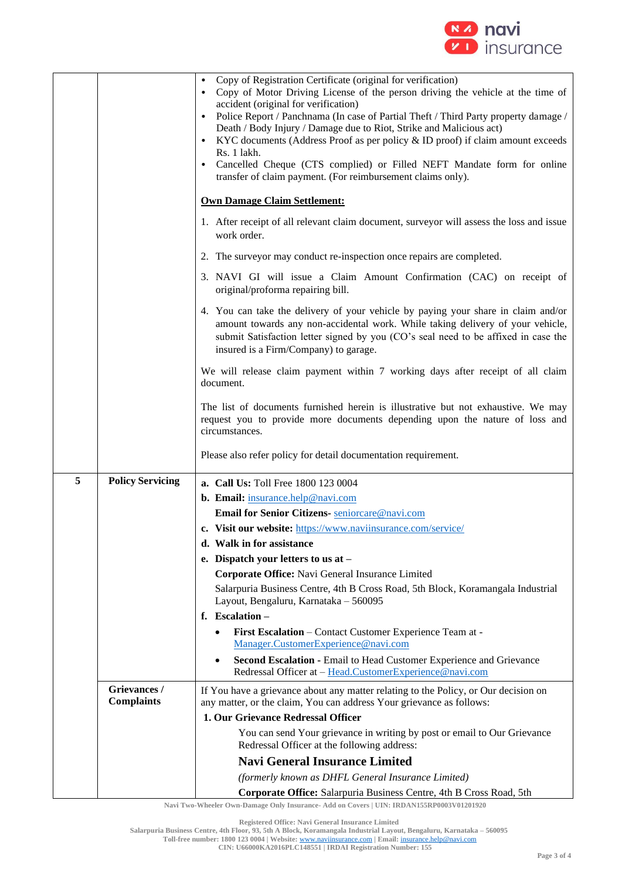

|   |                                   | Copy of Registration Certificate (original for verification)<br>Copy of Motor Driving License of the person driving the vehicle at the time of<br>accident (original for verification)<br>Police Report / Panchnama (In case of Partial Theft / Third Party property damage /<br>Death / Body Injury / Damage due to Riot, Strike and Malicious act)<br>KYC documents (Address Proof as per policy & ID proof) if claim amount exceeds<br>$\bullet$<br>Rs. 1 lakh.<br>Cancelled Cheque (CTS complied) or Filled NEFT Mandate form for online<br>$\bullet$<br>transfer of claim payment. (For reimbursement claims only). |  |  |
|---|-----------------------------------|--------------------------------------------------------------------------------------------------------------------------------------------------------------------------------------------------------------------------------------------------------------------------------------------------------------------------------------------------------------------------------------------------------------------------------------------------------------------------------------------------------------------------------------------------------------------------------------------------------------------------|--|--|
|   |                                   | <b>Own Damage Claim Settlement:</b>                                                                                                                                                                                                                                                                                                                                                                                                                                                                                                                                                                                      |  |  |
|   |                                   | 1. After receipt of all relevant claim document, surveyor will assess the loss and issue<br>work order.                                                                                                                                                                                                                                                                                                                                                                                                                                                                                                                  |  |  |
|   |                                   | 2. The surveyor may conduct re-inspection once repairs are completed.                                                                                                                                                                                                                                                                                                                                                                                                                                                                                                                                                    |  |  |
|   |                                   | 3. NAVI GI will issue a Claim Amount Confirmation (CAC) on receipt of<br>original/proforma repairing bill.                                                                                                                                                                                                                                                                                                                                                                                                                                                                                                               |  |  |
|   |                                   | 4. You can take the delivery of your vehicle by paying your share in claim and/or<br>amount towards any non-accidental work. While taking delivery of your vehicle,<br>submit Satisfaction letter signed by you (CO's seal need to be affixed in case the<br>insured is a Firm/Company) to garage.                                                                                                                                                                                                                                                                                                                       |  |  |
|   |                                   | We will release claim payment within 7 working days after receipt of all claim<br>document.                                                                                                                                                                                                                                                                                                                                                                                                                                                                                                                              |  |  |
|   |                                   | The list of documents furnished herein is illustrative but not exhaustive. We may<br>request you to provide more documents depending upon the nature of loss and<br>circumstances.                                                                                                                                                                                                                                                                                                                                                                                                                                       |  |  |
|   |                                   | Please also refer policy for detail documentation requirement.                                                                                                                                                                                                                                                                                                                                                                                                                                                                                                                                                           |  |  |
| 5 | <b>Policy Servicing</b>           | a. Call Us: Toll Free 1800 123 0004                                                                                                                                                                                                                                                                                                                                                                                                                                                                                                                                                                                      |  |  |
|   |                                   | <b>b.</b> Email: insurance.help@navi.com                                                                                                                                                                                                                                                                                                                                                                                                                                                                                                                                                                                 |  |  |
|   |                                   | Email for Senior Citizens- seniorcare@navi.com                                                                                                                                                                                                                                                                                                                                                                                                                                                                                                                                                                           |  |  |
|   |                                   | c. Visit our website: https://www.naviinsurance.com/service/                                                                                                                                                                                                                                                                                                                                                                                                                                                                                                                                                             |  |  |
|   |                                   | d. Walk in for assistance                                                                                                                                                                                                                                                                                                                                                                                                                                                                                                                                                                                                |  |  |
|   |                                   | e. Dispatch your letters to us at -                                                                                                                                                                                                                                                                                                                                                                                                                                                                                                                                                                                      |  |  |
|   |                                   | Corporate Office: Navi General Insurance Limited                                                                                                                                                                                                                                                                                                                                                                                                                                                                                                                                                                         |  |  |
|   |                                   | Salarpuria Business Centre, 4th B Cross Road, 5th Block, Koramangala Industrial<br>Layout, Bengaluru, Karnataka - 560095                                                                                                                                                                                                                                                                                                                                                                                                                                                                                                 |  |  |
|   |                                   | f. Escalation-                                                                                                                                                                                                                                                                                                                                                                                                                                                                                                                                                                                                           |  |  |
|   |                                   | First Escalation – Contact Customer Experience Team at -<br>٠<br>Manager.CustomerExperience@navi.com                                                                                                                                                                                                                                                                                                                                                                                                                                                                                                                     |  |  |
|   |                                   | Second Escalation - Email to Head Customer Experience and Grievance<br>$\bullet$<br>Redressal Officer at - Head.CustomerExperience@navi.com                                                                                                                                                                                                                                                                                                                                                                                                                                                                              |  |  |
|   | Grievances /<br><b>Complaints</b> | If You have a grievance about any matter relating to the Policy, or Our decision on<br>any matter, or the claim, You can address Your grievance as follows:                                                                                                                                                                                                                                                                                                                                                                                                                                                              |  |  |
|   |                                   | 1. Our Grievance Redressal Officer                                                                                                                                                                                                                                                                                                                                                                                                                                                                                                                                                                                       |  |  |
|   |                                   | You can send Your grievance in writing by post or email to Our Grievance<br>Redressal Officer at the following address:                                                                                                                                                                                                                                                                                                                                                                                                                                                                                                  |  |  |
|   |                                   | <b>Navi General Insurance Limited</b>                                                                                                                                                                                                                                                                                                                                                                                                                                                                                                                                                                                    |  |  |
|   |                                   | (formerly known as DHFL General Insurance Limited)                                                                                                                                                                                                                                                                                                                                                                                                                                                                                                                                                                       |  |  |
|   |                                   | Corporate Office: Salarpuria Business Centre, 4th B Cross Road, 5th                                                                                                                                                                                                                                                                                                                                                                                                                                                                                                                                                      |  |  |

**Navi Two-Wheeler Own-Damage Only Insurance- Add on Covers | UIN: IRDAN155RP0003V01201920**

**Salarpuria Business Centre, 4th Floor, 93, 5th A Block, Koramangala Industrial Layout, Bengaluru, Karnataka – 560095 Toll-free number: 1800 123 0004 | Website:** [www.naviinsurance.com](http://www.naviinsurance.com/) **| Email:** [insurance.help@navi.com](mailto:insurance.help@navi.com)

**CIN: U66000KA2016PLC148551 | IRDAI Registration Number: 155**